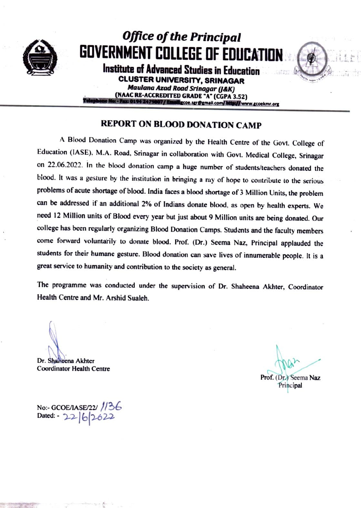

## **Office of the Principal** GOVERNMENT COLLEGE OF EDUCATION

Institute of Advanced Studies in Education **CLUSTER UNIVERSITY, SRINAGAR Maulana Azad Road Srinagar (J&K)** 

(NAAC RE-ACCREDITED GRADE "A" (CGPA 3.52) 0194 2479807/Email: coe.sgr@gmail.com/http://www.gcoekmr.org

## **REPORT ON BLOOD DONATION CAMP**

A Blood Donation Camp was organized by the Health Centre of the Govt. College of Education (IASE), M.A. Road, Srinagar in collaboration with Govt. Medical College, Srinagar on 22.06.2022. In the blood donation camp a huge number of students/teachers donated the blood. It was a gesture by the institution in bringing a ray of hope to contribute to the serious problems of acute shortage of blood. India faces a blood shortage of 3 Million Units, the problem can be addressed if an additional 2% of Indians donate blood, as open by health experts. We need 12 Million units of Blood every year but just about 9 Million units are being donated. Our college has been regularly organizing Blood Donation Camps. Students and the faculty members come forward voluntarily to donate blood. Prof. (Dr.) Seema Naz, Principal applauded the students for their humane gesture. Blood donation can save lives of innumerable people. It is a great service to humanity and contribution to the society as general.

The programme was conducted under the supervision of Dr. Shaheena Akhter, Coordinator Health Centre and Mr. Arshid Sualeh.

Dr. Shaneena Akhter

**Coordinator Health Centre** 

Prof. (Dr.) Seema Naz Principal

No:- GCOE/IASE/22/ //36 Dated: 22/6/2622